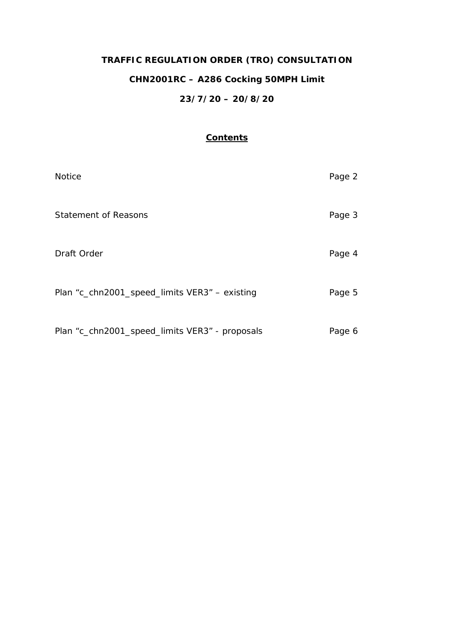# **TRAFFIC REGULATION ORDER (TRO) CONSULTATION CHN2001RC – A286 Cocking 50MPH Limit 23/7/20 – 20/8/20**

## **Contents**

| <b>Notice</b>                                  | Page 2 |
|------------------------------------------------|--------|
| <b>Statement of Reasons</b>                    | Page 3 |
| Draft Order                                    | Page 4 |
| Plan "c_chn2001_speed_limits VER3" - existing  | Page 5 |
| Plan "c_chn2001_speed_limits VER3" - proposals | Page 6 |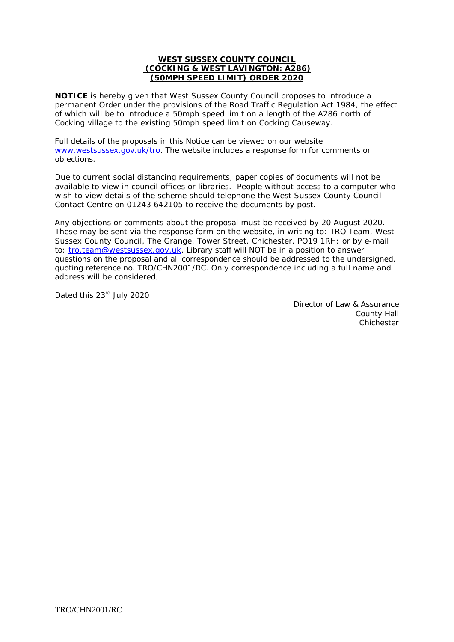#### **WEST SUSSEX COUNTY COUNCIL (COCKING & WEST LAVINGTON: A286) (50MPH SPEED LIMIT) ORDER 2020**

**NOTICE** is hereby given that West Sussex County Council proposes to introduce a permanent Order under the provisions of the Road Traffic Regulation Act 1984, the effect of which will be to introduce a 50mph speed limit on a length of the A286 north of Cocking village to the existing 50mph speed limit on Cocking Causeway.

Full details of the proposals in this Notice can be viewed on our website [www.westsussex.gov.uk/tro.](http://www.westsussex.gov.uk/tro) The website includes a response form for comments or objections.

Due to current social distancing requirements, paper copies of documents will not be available to view in council offices or libraries. People without access to a computer who wish to view details of the scheme should telephone the West Sussex County Council Contact Centre on 01243 642105 to receive the documents by post.

Any objections or comments about the proposal must be received by 20 August 2020. These may be sent via the response form on the website, in writing to: TRO Team, West Sussex County Council, The Grange, Tower Street, Chichester, PO19 1RH; or by e-mail to: [tro.team@westsussex.gov.uk.](mailto:tro.team@westsussex.gov.uk) Library staff will NOT be in a position to answer questions on the proposal and all correspondence should be addressed to the undersigned, quoting reference no. TRO/CHN2001/RC. Only correspondence including a full name and address will be considered.

Dated this 23<sup>rd</sup> July 2020

 Director of Law & Assurance County Hall **Chichester**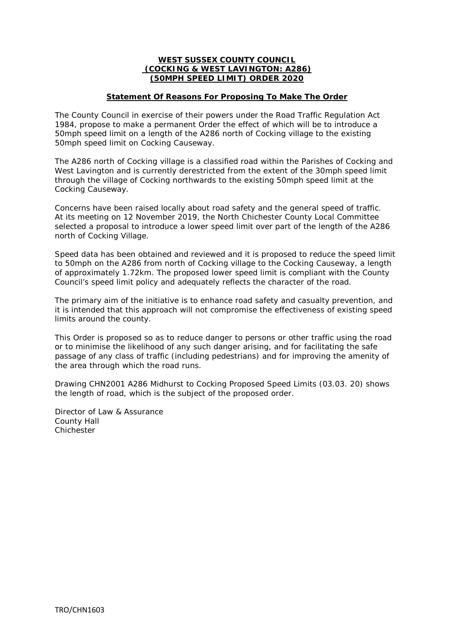#### **WEST SUSSEX COUNTY COUNCIL (COCKING & WEST LAVINGTON: A286) (50MPH SPEED LIMIT) ORDER 2020**

#### **Statement Of Reasons For Proposing To Make The Order**

The County Council in exercise of their powers under the Road Traffic Regulation Act 1984, propose to make a permanent Order the effect of which will be to introduce a 50mph speed limit on a length of the A286 north of Cocking village to the existing 50mph speed limit on Cocking Causeway.

The A286 north of Cocking village is a classified road within the Parishes of Cocking and West Lavington and is currently derestricted from the extent of the 30mph speed limit through the village of Cocking northwards to the existing 50mph speed limit at the Cocking Causeway.

Concerns have been raised locally about road safety and the general speed of traffic. At its meeting on 12 November 2019, the North Chichester County Local Committee selected a proposal to introduce a lower speed limit over part of the length of the A286 north of Cocking Village.

Speed data has been obtained and reviewed and it is proposed to reduce the speed limit to 50mph on the A286 from north of Cocking village to the Cocking Causeway, a length of approximately 1.72km. The proposed lower speed limit is compliant with the County Council's speed limit policy and adequately reflects the character of the road.

The primary aim of the initiative is to enhance road safety and casualty prevention, and it is intended that this approach will not compromise the effectiveness of existing speed limits around the county.

This Order is proposed so as to reduce danger to persons or other traffic using the road or to minimise the likelihood of any such danger arising, and for facilitating the safe passage of any class of traffic (including pedestrians) and for improving the amenity of the area through which the road runs.

Drawing CHN2001 A286 Midhurst to Cocking Proposed Speed Limits (03.03. 20) shows the length of road, which is the subject of the proposed order.

Director of Law & Assurance County Hall Chichester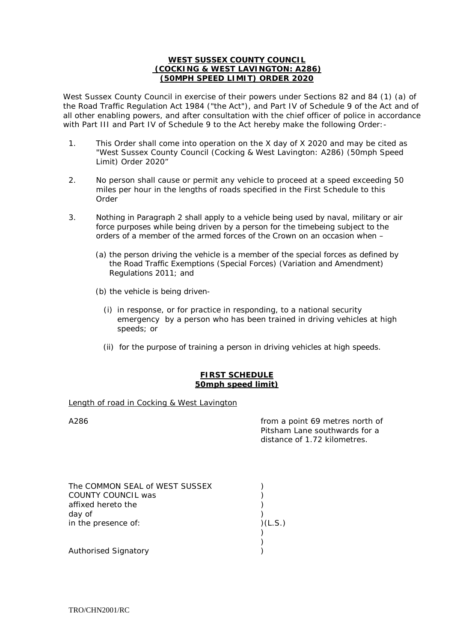#### **WEST SUSSEX COUNTY COUNCIL (COCKING & WEST LAVINGTON: A286) (50MPH SPEED LIMIT) ORDER 2020**

West Sussex County Council in exercise of their powers under Sections 82 and 84 (1) (a) of the Road Traffic Regulation Act 1984 ("the Act"), and Part IV of Schedule 9 of the Act and of all other enabling powers, and after consultation with the chief officer of police in accordance with Part III and Part IV of Schedule 9 to the Act hereby make the following Order:-

- 1. This Order shall come into operation on the X day of X 2020 and may be cited as "West Sussex County Council (Cocking & West Lavington: A286) (50mph Speed Limit) Order 2020"
- 2. No person shall cause or permit any vehicle to proceed at a speed exceeding 50 miles per hour in the lengths of roads specified in the First Schedule to this Order
- 3. Nothing in Paragraph 2 shall apply to a vehicle being used by naval, military or air force purposes while being driven by a person for the timebeing subject to the orders of a member of the armed forces of the Crown on an occasion when –
	- (a) the person driving the vehicle is a member of the special forces as defined by the Road Traffic Exemptions (Special Forces) (Variation and Amendment) Regulations 2011; and
	- (b) the vehicle is being driven-
		- (i) in response, or for practice in responding, to a national security emergency by a person who has been trained in driving vehicles at high speeds; or
		- (ii) for the purpose of training a person in driving vehicles at high speeds.

### **FIRST SCHEDULE 50mph speed limit)**

#### Length of road in Cocking & West Lavington

A286 from a point 69 metres north of Pitsham Lane southwards for a distance of 1.72 kilometres.

| The COMMON SEAL of WEST SUSSEX |        |
|--------------------------------|--------|
| COUNTY COUNCIL was             |        |
| affixed hereto the             |        |
| day of                         |        |
| in the presence of:            | (L.S.) |
|                                |        |
|                                |        |
| Authorised Signatory           |        |

TRO/CHN2001/RC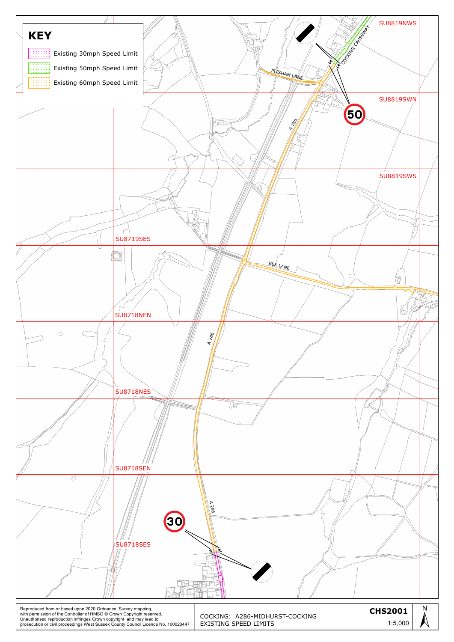